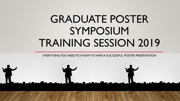# GRADUATE POSTER SYMPOSIUM TRAINING SESSION 2019

EVERYTHING YOU NEED TO KNOW TO HAVE A SUCCESSFUL POSTER PRESENTATION

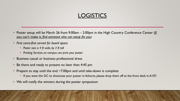## **LOGISTICS**

- Poster setup will be March 26 from 9:00am 2:00pm in the High Country Conference Center (If you can't make it, *find someone who can setup for you)*
- *First come-first served for board space*
	- *Poster size is 4 ft wide, by 3 ft tall*
	- *Printing Services on campus can print your poster*
- Business casual or business professional dress
- Be there and ready to present no later than 4:45 pm
- Prepare to stay until the end  $\sim$ 7:00pm and until take-down is complete
	- If you want the GC to showcase your poster in Ashurst, please drop them off at the front desk in A107.
- We will notify the winners during the poster symposium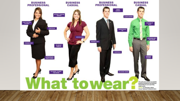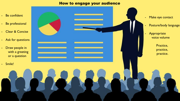#### How to engage your audience

- Be confident
- Be professional
- Clear & Concise
- Ask for questions
- Draw people in with a greeting or a question
- Smile!
- Make eye contact
	- Posture/body language
	- Appropriate voice volume
		- Practice, practice, practice.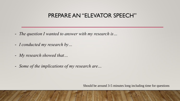## PREPARE AN "ELEVATOR SPEECH"

- *The question I wanted to answer with my research is…*
- *I conducted my research by…*
- *My research showed that…*
- *Some of the implications of my research are…*

Should be around 3-5 minutes long including time for questions